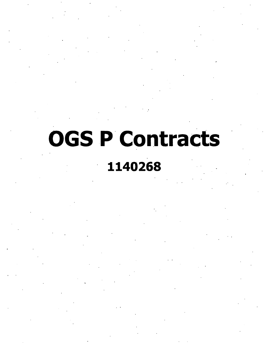# **OGS P Contracts**

# **1140268**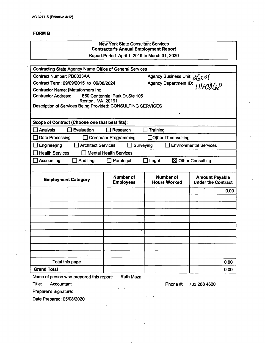#### **FORMS**

# New York State Consultant Services **Contractor's Annual Employment Report** Report Period: April 1,2019 to March 31,2020 Contracting State Agency Name Office of General Services Agency Business Unit:  $\partial$ 650 Contract Number: PB0033AA Contract Term: 09/09/2015 to 09/08/2024 Agency Department ID: *[ [YO* $\partial Q$ Contractor Name: [Metaformers Inc Contractor Address: 1850 Centennial Park Dr.Ste 105 Reston, VA 20191 Description of Services Being Provided: CONSULTING SERVICES **Scope of Contract (Choose one that best fits):** Analysis D Evaiuation Research Training □ Data Processing □ Computer Programming □ Other IT consulting Engineering Architect Services Surveying Environmental Services  $\Box$  Health Services  $\Box$  Mental Health Services  $\Box$  Accounting  $\Box$  Auditing  $\Box$  Paralegal  $\Box$  Legal  $\boxtimes$  Other Consulting **Number of Number of Amount Payable**<br>**Under the Contract Employment Category Employees Hours Worked** 0.00  $\mathbf{r}$ Total this page and the contract of the contract of the contract of the contract of the contract of the contract of the contract of the contract of the contract of the contract of the contract of the contract of the contra **Grand Total** 0.00 Name of person who prepared this report: Ruth Maza

Titie: Accountant

Phone #: 703 288 4620

Preparer's Signature:

Date Prepared: 05/08/2020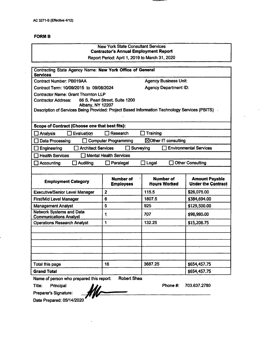#### **FORMS**

| <b>New York State Consultant Services</b><br><b>Contractor's Annual Employment Report</b>       |                                      |                                         |                                                    |
|-------------------------------------------------------------------------------------------------|--------------------------------------|-----------------------------------------|----------------------------------------------------|
| Report Period: April 1, 2019 to March 31, 2020                                                  |                                      |                                         |                                                    |
| Contracting State Agency Name: New York Office of General                                       |                                      |                                         |                                                    |
| <b>Services</b>                                                                                 |                                      |                                         |                                                    |
| <b>Contract Number: PB019AA</b>                                                                 |                                      | <b>Agency Business Unit:</b>            |                                                    |
| Contract Term: 10/09/2015 to 09/08/2024                                                         |                                      | <b>Agency Department ID:</b>            |                                                    |
| <b>Contractor Name: Grant Thornton LLP</b>                                                      |                                      |                                         |                                                    |
| <b>Contractor Address:</b><br>Albány, NY 12207                                                  | 66 S. Pearl Street, Suite 1200       |                                         |                                                    |
| Description of Services Being Provided: Project Based Information Technology Services (PBITS) . |                                      |                                         |                                                    |
|                                                                                                 |                                      |                                         |                                                    |
| Scope of Contract (Choose one that best fits):                                                  |                                      |                                         |                                                    |
| Analysis<br>Evaluation                                                                          | Research                             | <b>Training</b>                         |                                                    |
| <b>Data Processing</b>                                                                          | <b>Computer Programming</b>          | ⊠Other IT consulting                    |                                                    |
| <b>Architect Services</b><br>Engineering                                                        | Surveying                            |                                         | <b>Environmental Services</b>                      |
| <b>Health Services</b>                                                                          | <b>Mental Health Services</b>        |                                         |                                                    |
| <b>Auditing</b><br>Accounting                                                                   | Paralegal                            | Legal                                   | <b>Other Consulting</b>                            |
|                                                                                                 |                                      |                                         |                                                    |
| <b>Employment Category</b>                                                                      | <b>Number of</b><br><b>Employees</b> | <b>Number of</b><br><b>Hours Worked</b> | <b>Amount Payable</b><br><b>Under the Contract</b> |
| <b>Executive/Senior Level Manager</b>                                                           | $\overline{\mathbf{2}}$              | 115.5                                   | \$26,075.00                                        |
| <b>First/Mid Level Manager</b>                                                                  | 6                                    | 1807.5                                  | \$384,694.00                                       |
| <b>Management Analyst</b>                                                                       | 5                                    | 925                                     | \$129,500.00                                       |
| <b>Network Systems and Data</b><br><b>Communications Analyst</b>                                | $\mathbf{1}$                         | 707                                     | \$98,980.00                                        |
| <b>Operations Research Analyst</b>                                                              | 1                                    | 132.25                                  | \$15,208.75                                        |
|                                                                                                 |                                      |                                         |                                                    |
|                                                                                                 |                                      |                                         |                                                    |
|                                                                                                 |                                      |                                         |                                                    |
|                                                                                                 |                                      |                                         |                                                    |
| Total this page                                                                                 | 16                                   | 3687.25                                 | \$654,457.75                                       |
| <b>Grand Total</b>                                                                              |                                      |                                         | \$654,457.75                                       |
| Name of person who prepared this report:<br>Robert Shea                                         |                                      |                                         |                                                    |

Name of person who prepared this report: Robert Shea

Title: Principal

Preparer's Signature:

Date Prepared: 05/14/2020

Phone#: 703.637.2780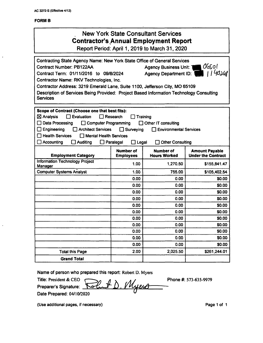#### **FORMB**

# New York State Consultant Services **Contractor's Annual Employment Report**

Report Period: April 1, 2019 to March 31, 2020

| Contracting State Agency Name: New York State Office of General Services                                   |                                            |                                         |                                                    |
|------------------------------------------------------------------------------------------------------------|--------------------------------------------|-----------------------------------------|----------------------------------------------------|
| <b>Contract Number: PB122AA</b>                                                                            | $06$ sol<br><b>Agency Business Unit: 1</b> |                                         |                                                    |
| Contract Term: 01/11/2016 to 09/8/2024                                                                     |                                            | <b>Agency Department ID:</b>            | 1140246                                            |
| Contractor Name: RKV Technologies, Inc.                                                                    |                                            |                                         |                                                    |
| Contractor Address: 3219 Emerald Lane, Suite 1100, Jefferson City, MO 65109                                |                                            |                                         |                                                    |
| Description of Services Being Provided: Project Based Information Technology Consulting<br><b>Services</b> |                                            |                                         |                                                    |
|                                                                                                            |                                            |                                         |                                                    |
| Scope of Contract (Choose one that best fits):                                                             |                                            |                                         |                                                    |
| $\boxtimes$ Analysis<br>Evaluation                                                                         | Research                                   | Training                                |                                                    |
| Data Processing<br>$\Box$ Computer Programming                                                             |                                            | $\Box$ Other IT consulting              |                                                    |
| Engineering<br><b>Architect Services</b>                                                                   | $\Box$ Surveying                           | <b>Environmental Services</b>           |                                                    |
| <b>Health Services</b><br><b>Nental Health Services</b>                                                    |                                            |                                         |                                                    |
| <b>Accounting</b><br>$\exists$ Auditing                                                                    | $\Box$ Paralegal<br>$\square$ Legal        | <b>Other Consulting</b>                 |                                                    |
| <b>Employment Category</b>                                                                                 | <b>Number of</b><br><b>Employees</b>       | <b>Number of</b><br><b>Hours Worked</b> | <b>Amount Payable</b><br><b>Under the Contract</b> |
| <b>Information Technology Project</b><br>Manager                                                           | 1.00                                       | 1,270.50                                | \$155,841.47                                       |
| <b>Computer Systems Analyst</b>                                                                            | 1.00                                       | 755.00                                  | \$105,402.54                                       |
|                                                                                                            | 0.00                                       | 0.00                                    | \$0.00                                             |
|                                                                                                            | 0.00                                       | 0.00                                    | \$0.00                                             |
|                                                                                                            | 0.00                                       | 0.00                                    | \$0.00                                             |
|                                                                                                            | 0.00                                       | 0.00                                    | \$0.00                                             |
|                                                                                                            | 0.00                                       | 0.00                                    | \$0.00                                             |
|                                                                                                            | 0.00                                       | 0.00                                    | \$0.00                                             |
|                                                                                                            | 0.00                                       | 0.00                                    | \$0.00                                             |
|                                                                                                            | 0.00                                       | 0.00                                    | \$0.00                                             |
|                                                                                                            | 0.00                                       | 0.00                                    | \$0.00                                             |
|                                                                                                            | 0.00                                       | 0.00                                    | \$0.00                                             |
|                                                                                                            | 0.00                                       | 0.00                                    | \$0.00                                             |
| <b>Total this Page</b>                                                                                     | 2.00                                       | 2,025.50                                | \$261,244.01                                       |
| <b>Grand Total</b>                                                                                         |                                            |                                         |                                                    |

**Name of person who prepared this report: Robert D. Myers**

**Title: President & CEO** <u>Myero</u> **Preparer's Signature:** دىر **Date Prepared: 04/10/2020**

**Phone #: 573-635-9979**

**(Use additional pages, if necessary) Page <sup>1</sup> of <sup>1</sup>**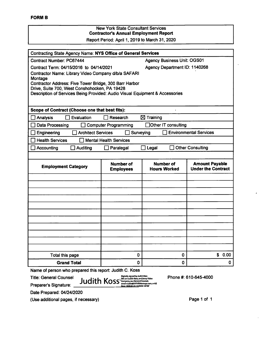#### New York State Consultant Services **Contractor's Annual Employment Report** Report Period: April 1, 2019 to March 31, 2020

Contracting State Agency Name; **NYS Office of General Services** Agency Business Unit; OGS01 Agency Department ID: 1140268 Contract Number; PC67444 Contract Term: 04/15/2016 to 04/14/2021 Contractor Name; Library Video Company d/b/a SAFARI Montage Contractor Address; Five Tower Bridge, 300 Barr Harbor Drive, Suite 700, West Conshohocken, PA 19428 Description of Services Being Provided; Audio Visual Equipment & Accessories **Scope of Contract (Choose one that best fits):**  $\Box$  Analysis  $\Box$  Evaluation  $\Box$  Research  $\boxtimes$  Training □ Data Processing □ Computer Programming □ □ Other IT consulting  $\Box$  Engineering  $\Box$  Architect Services  $\Box$  Surveying  $\Box$  Environmental Services  $\Box$  Health Services  $\Box$  Mental Health Services Accounting Auditing Paralegal Legal Other Consulting **Number of Hours Worked Amount Payable Under the Contract Number of Employment Category** Total this page 0 0 \$ 0.00 **Grand Total** 0 0 0

Name of person who prepared this report: Judith C. Koss

Title: General Counsel

Preparer's Signature;

Date Prepared: 04/24/2020

(Use additional pages, if necessary)

 $J$ udith  $K$ oss,o $\frac{D_{opt}^{(b)}}{D_{opt}}$   $\frac{D_{opt}^{(b)}}{D_{opt}}$   $\frac{D_{opt}}{D_{opt}}$   $\frac{D_{opt}}{D_{opt}}$  and  $\frac{D_{opt}}{D_{opt}}$  and  $\frac{D_{opt}}{D_{opt}}$  and  $\frac{D_{opt}}{D_{opt}}$  and  $\frac{D_{opt}}{D_{opt}}$  and  $\frac{D_{opt}}{D_{opt}}$  and  $\frac{D_{opt}}{D_{opt}}$  and  $\frac{D_{opt}}{D_{opt}}$  and

Page <sup>1</sup> of <sup>1</sup>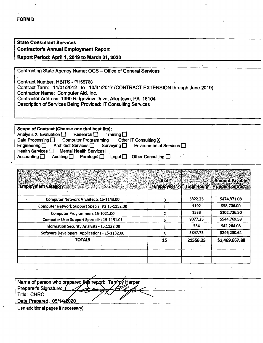### **State Consultant Services Contractor's Annual Employment Report**

#### **Report Period: April 1,2019 to March 31,2020**

Contracting State Agency Name: OGS ^ Office of General Services

Contract Number; MBITS - PH65768 Contract Term:: 11/01/2012 to 10/31/2017 (CONTRACT EXTENSION through June 2019) Contractor Name: Computer Aid, Inc. Contractor Address: 1390 Ridgeview Drive, Allentown, PA 18104 Description of Services Being Provided: IT Consulting Services

 $\lambda$ 

Scope of Contract (Choose one that best fits): Analysis X Evaluation  $\Box$  Research  $\Box$  Training  $\Box$ <br>Data Processing  $\Box$  Computer Programming Other IT Consulting X Data Processing  $\Box$  Computer Programming Other<br>Engineering  $\Box$  Architect Services  $\Box$  Surveying  $\Box$ Environmental Services  $\square$ Health Services **Mental Health Services**  $\Box$ Accounting  $\Box$  Auditing  $\Box$  Paralegal  $\Box$  Legal  $\Box$  Other Consulting  $\Box$ 

| <b>Employment Category</b>                             | # of<br><b>Employees</b> | <b>Total Hours</b> | <b>Amount Payable</b><br><b>Lunder Contract</b> |
|--------------------------------------------------------|--------------------------|--------------------|-------------------------------------------------|
| <b>Computer Network Architects 15-1143.00</b>          | 3                        | 5322.25            | \$474,971.08                                    |
| <b>Computer Network Support Specialists 15-1152.00</b> |                          | 1192               | \$58,706.00                                     |
| <b>Computer Programmers 15-1021.00</b>                 |                          | 1533               | \$102,726.50                                    |
| <b>Computer User Support Specialist 15-1151.01</b>     | 5                        | 9077.25            | \$544,769.58                                    |
| Information Security Analysts - 15.1122.00             |                          | 584                | \$42,264.08                                     |
| Software Developers, Applications - 15-1132.00         |                          | 3847.75            | \$246,230.64                                    |
| <b>TOTALS</b>                                          | 15                       | 21556.25           | \$1,469,667.88                                  |
|                                                        |                          |                    |                                                 |
|                                                        |                          |                    |                                                 |
|                                                        |                          |                    |                                                 |

Name of person who prepared **this re**port: Taniny Harper Preparer's Signature: Title: CHRO X Title: CHRO<br>Date Prepared: 05/14*2*020

Use additional pages if necessary)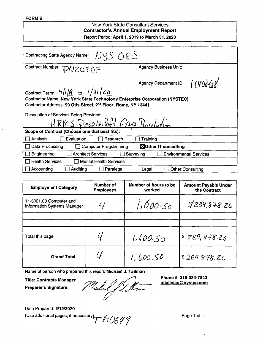#### **FORMB**

## New York State Consultant Services **Contractor's Annual Employment Report** Report Period; **April 1, 2019 to March 31,2020** NYS OGS Contracting State Agency Name: Contract Number:  $\overline{D}NZOSAF$  Agency Business Unit:  $11400668$ Agency Department ID: Contract Term:  $4/\sqrt{9}$  to  $1/31/20$ Contractor Name: **New York State Technology Enterprise Corporation (NYSTEC)** Contractor Address; **99 Otis Street, 2"'\* Floor, Rome, NY 13441** Description of Services Being Provided: HRMS PeopleSoft GAP Resolution **Scope of Contract (Choose one that best fits):** Analysis **Evaluation Research Finallysis** Research **E** Data Processing O Computer Programming **■Mother IT consulting** Engineering **Engineering** Architect Services **Surveying** Environmental Services  $\Box$  Health Services  $\Box$  Mental Health Services Accounting Auditing Paralegal Legal Other Consulting

| <b>Employment Category</b>                                    | Number of<br><b>Employees</b> | Number of hours to be<br>worked | <b>Amount Payable Under</b><br>the Contract |
|---------------------------------------------------------------|-------------------------------|---------------------------------|---------------------------------------------|
| 11-3021.00 Computer and<br><b>Information Systems Manager</b> |                               | 1,000.50                        | 9289,878.26                                 |
|                                                               |                               |                                 |                                             |
| Total this page                                               |                               | 1,600.50                        | \$289,878.26                                |
| <b>Grand Total</b>                                            |                               | 1,600.50                        | \$289.878.26                                |

Name of person who prepared this report; **Michael J. Tallman**

**Title: Contracts Manager Preparer's Signature:**

Uebel J Le

**Phone #: 315-334-7843 [mtallman@nvstec.com](mailto:mtallman@nvstec.com)**

Date Prepared: **5/12/2020**

(Use additional pages, if necessary).  $\mathcal{A}$  *O699* Page 1 of 1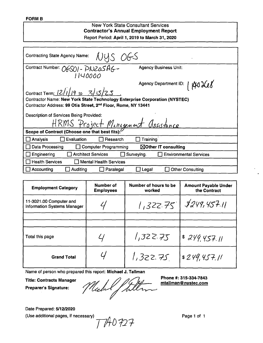#### **New York State Consultant Services Contractor's Annual Employment Report** Report Period: **April 1, 2019 to March 31, 2020**

| NUS OGS<br><b>Contracting State Agency Name:</b>                                                                                                                    |                                             |  |  |  |
|---------------------------------------------------------------------------------------------------------------------------------------------------------------------|---------------------------------------------|--|--|--|
| Contract Number: OGSOI - PNZOSAG-<br>1140000                                                                                                                        | <b>Agency Business Unit:</b>                |  |  |  |
| Agency Department ID:   140 XL8<br>Contract Term: $\frac{12}{119}$ to $\frac{3}{525}$<br>Contractor Name: New York State Technology Enterprise Corporation (NYSTEC) |                                             |  |  |  |
| Contractor Address: 99 Otis Street, 2 <sup>nd</sup> Floor, Rome, NY 13441                                                                                           |                                             |  |  |  |
| Description of Services Being Provided:                                                                                                                             |                                             |  |  |  |
| HRMS Project Minigenent Assistance                                                                                                                                  |                                             |  |  |  |
| Scope of Contract (Choose one that best fits):                                                                                                                      |                                             |  |  |  |
| Evaluation<br>Research<br>Analysis                                                                                                                                  | Training                                    |  |  |  |
| Data Processing<br><b>Computer Programming</b>                                                                                                                      | $\boxtimes$ Other IT consulting             |  |  |  |
| <b>Architect Services</b><br>Engineering                                                                                                                            | <b>Environmental Services</b><br>Surveying. |  |  |  |
| <b>Health Services</b><br><b>Mental Health Services</b>                                                                                                             |                                             |  |  |  |
| Accounting<br><b>Auditing</b><br>Paralegal                                                                                                                          | <b>Other Consulting</b><br>Legal            |  |  |  |

| <b>Employment Category</b>                                    | Number of<br><b>Employees</b> | Number of hours to be<br>worked | <b>Amount Payable Under</b><br>the Contract |
|---------------------------------------------------------------|-------------------------------|---------------------------------|---------------------------------------------|
| 11-3021.00 Computer and<br><b>Information Systems Manager</b> |                               |                                 | 1,322.75   \$249,457.11                     |
|                                                               |                               |                                 |                                             |
| Total this page                                               |                               | 1,322.75                        | 8249457.11                                  |
| <b>Grand Total</b>                                            |                               | 1,322.75                        | s249,457.11                                 |

Name of person who prepared this report: **Michael J. Tallman**

**Title: Contracts Manager**

Phone #: 315-334-7843<br> *I Jull* 1 Michel

**Preparer's Signature:**

Date Prepared: **5/12/2020**

(Use additional pages, if necessary)  $\overline{177}$  Page 1 of 1